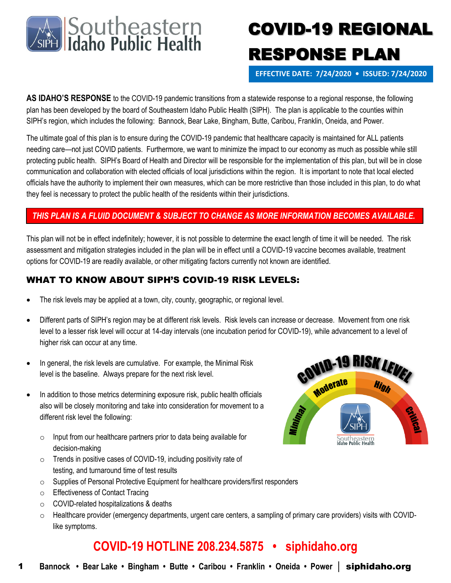

# COVID-19 REGIONAL RESPONSE PLAN

**EFFECTIVE DATE: 7/24/2020 • ISSUED: 7/24/2020**

**AS IDAHO'S RESPONSE** to the COVID-19 pandemic transitions from a statewide response to a regional response, the following plan has been developed by the board of Southeastern Idaho Public Health (SIPH). The plan is applicable to the counties within SIPH's region, which includes the following: Bannock, Bear Lake, Bingham, Butte, Caribou, Franklin, Oneida, and Power.

The ultimate goal of this plan is to ensure during the COVID-19 pandemic that healthcare capacity is maintained for ALL patients needing care—not just COVID patients. Furthermore, we want to minimize the impact to our economy as much as possible while still protecting public health. SIPH's Board of Health and Director will be responsible for the implementation of this plan, but will be in close communication and collaboration with elected officials of local jurisdictions within the region. It is important to note that local elected officials have the authority to implement their own measures, which can be more restrictive than those included in this plan, to do what they feel is necessary to protect the public health of the residents within their jurisdictions.

#### *THIS PLAN IS A FLUID DOCUMENT & SUBJECT TO CHANGE AS MORE INFORMATION BECOMES AVAILABLE.*

This plan will not be in effect indefinitely; however, it is not possible to determine the exact length of time it will be needed. The risk assessment and mitigation strategies included in the plan will be in effect until a COVID-19 vaccine becomes available, treatment options for COVID-19 are readily available, or other mitigating factors currently not known are identified.

#### WHAT TO KNOW ABOUT SIPH'S COVID-19 RISK LEVELS:

- The risk levels may be applied at a town, city, county, geographic, or regional level.
- Different parts of SIPH's region may be at different risk levels. Risk levels can increase or decrease. Movement from one risk level to a lesser risk level will occur at 14-day intervals (one incubation period for COVID-19), while advancement to a level of higher risk can occur at any time.
- In general, the risk levels are cumulative. For example, the Minimal Risk level is the baseline. Always prepare for the next risk level.
- In addition to those metrics determining exposure risk, public health officials also will be closely monitoring and take into consideration for movement to a different risk level the following:
	- $\circ$  Input from our healthcare partners prior to data being available for decision-making
	- o Trends in positive cases of COVID-19, including positivity rate of testing, and turnaround time of test results
	- o Supplies of Personal Protective Equipment for healthcare providers/first responders
	- o Effectiveness of Contact Tracing
	- o COVID-related hospitalizations & deaths
	- $\circ$  Healthcare provider (emergency departments, urgent care centers, a sampling of primary care providers) visits with COVIDlike symptoms.

### **COVID-19 HOTLINE 208.234.5875 • siphidaho.org**

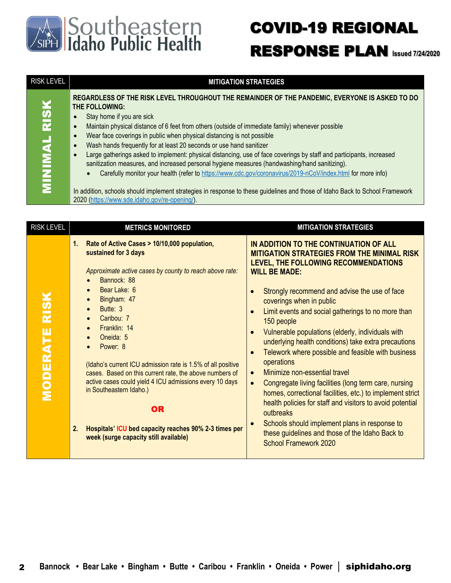

### COVID-19 REGIONAL RESPONSE PLAN **Issued 7/24/2020**

| <b>RISK LEVEL</b>                       | <b>MITIGATION STRATEGIES</b>                                                                                                                                                                                                                                                                                                                                                                                                                                                                                                                                                                                                                                                                                                                                                                                                                                                                                                             |
|-----------------------------------------|------------------------------------------------------------------------------------------------------------------------------------------------------------------------------------------------------------------------------------------------------------------------------------------------------------------------------------------------------------------------------------------------------------------------------------------------------------------------------------------------------------------------------------------------------------------------------------------------------------------------------------------------------------------------------------------------------------------------------------------------------------------------------------------------------------------------------------------------------------------------------------------------------------------------------------------|
| ¥<br>$\overline{\mathbf{R}}$<br>MINIMAL | REGARDLESS OF THE RISK LEVEL THROUGHOUT THE REMAINDER OF THE PANDEMIC, EVERYONE IS ASKED TO DO<br>THE FOLLOWING:<br>Stay home if you are sick<br>Maintain physical distance of 6 feet from others (outside of immediate family) whenever possible<br>Wear face coverings in public when physical distancing is not possible<br>Wash hands frequently for at least 20 seconds or use hand sanitizer<br>Large gatherings asked to implement: physical distancing, use of face coverings by staff and participants, increased<br>sanitization measures, and increased personal hygiene measures (handwashing/hand sanitizing).<br>Carefully monitor your health (refer to https://www.cdc.gov/coronavirus/2019-nCoV/index.html for more info)<br>$\bullet$<br>In addition, schools should implement strategies in response to these guidelines and those of Idaho Back to School Framework<br>2020 (https://www.sde.idaho.gov/re-opening/). |
|                                         |                                                                                                                                                                                                                                                                                                                                                                                                                                                                                                                                                                                                                                                                                                                                                                                                                                                                                                                                          |

| <b>RISK LEVEL</b>    | <b>METRICS MONITORED</b>                                                                                                                                                                                                                                                                                                                                                                                                                                                                                                                                                                                              | <b>MITIGATION STRATEGIES</b>                                                                                                                                                                                                                                                                                                                                                                                                                                                                                                                                                                                                                                                                                                                                                                                                                                                                                                  |
|----------------------|-----------------------------------------------------------------------------------------------------------------------------------------------------------------------------------------------------------------------------------------------------------------------------------------------------------------------------------------------------------------------------------------------------------------------------------------------------------------------------------------------------------------------------------------------------------------------------------------------------------------------|-------------------------------------------------------------------------------------------------------------------------------------------------------------------------------------------------------------------------------------------------------------------------------------------------------------------------------------------------------------------------------------------------------------------------------------------------------------------------------------------------------------------------------------------------------------------------------------------------------------------------------------------------------------------------------------------------------------------------------------------------------------------------------------------------------------------------------------------------------------------------------------------------------------------------------|
| <b>MODERATE RISK</b> | Rate of Active Cases > 10/10,000 population,<br>1.<br>sustained for 3 days<br>Approximate active cases by county to reach above rate:<br>Bannock: 88<br>Bear Lake: 6<br>$\bullet$<br>Bingham: 47<br>Butte: 3<br>Caribou: 7<br>Franklin: 14<br>$\bullet$<br>Oneida: 5<br>Power: 8<br>(Idaho's current ICU admission rate is 1.5% of all positive<br>cases. Based on this current rate, the above numbers of<br>active cases could yield 4 ICU admissions every 10 days<br>in Southeastern Idaho.)<br><b>OR</b><br>Hospitals' ICU bed capacity reaches 90% 2-3 times per<br>2.<br>week (surge capacity still available) | IN ADDITION TO THE CONTINUATION OF ALL<br><b>MITIGATION STRATEGIES FROM THE MINIMAL RISK</b><br>LEVEL, THE FOLLOWING RECOMMENDATIONS<br><b>WILL BE MADE:</b><br>Strongly recommend and advise the use of face<br>coverings when in public<br>Limit events and social gatherings to no more than<br>$\bullet$<br>150 people<br>Vulnerable populations (elderly, individuals with<br>$\bullet$<br>underlying health conditions) take extra precautions<br>Telework where possible and feasible with business<br>$\bullet$<br>operations<br>Minimize non-essential travel<br>$\bullet$<br>Congregate living facilities (long term care, nursing<br>$\bullet$<br>homes, correctional facilities, etc.) to implement strict<br>health policies for staff and visitors to avoid potential<br>outbreaks<br>Schools should implement plans in response to<br>these guidelines and those of the Idaho Back to<br>School Framework 2020 |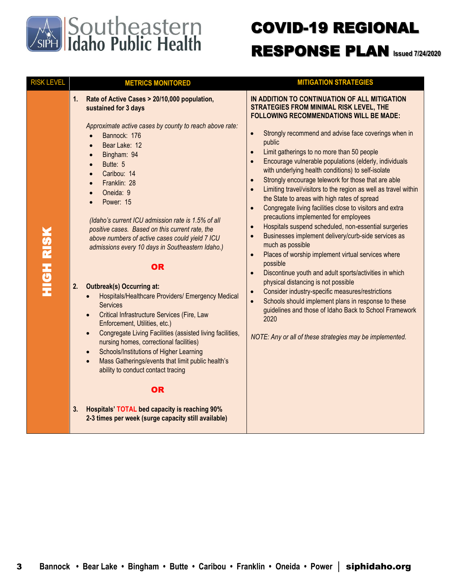

## COVID-19 REGIONAL RESPONSE PLAN **Issued 7/24/2020**

| <b>RISK LEVEL</b> | <b>METRICS MONITORED</b>                                                                                                                                                                                                                                                                                                                                                                                                                                                                                                                                                                                                                                                                                                                                                                                                                                                                                                                                                                                                                                                                                                                                                                                                 | <b>MITIGATION STRATEGIES</b>                                                                                                                                                                                                                                                                                                                                                                                                                                                                                                                                                                                                                                                                                                                                                                                                                                                                                                                                                                                                                                                                                                                                                                                                                                                                                                                                         |
|-------------------|--------------------------------------------------------------------------------------------------------------------------------------------------------------------------------------------------------------------------------------------------------------------------------------------------------------------------------------------------------------------------------------------------------------------------------------------------------------------------------------------------------------------------------------------------------------------------------------------------------------------------------------------------------------------------------------------------------------------------------------------------------------------------------------------------------------------------------------------------------------------------------------------------------------------------------------------------------------------------------------------------------------------------------------------------------------------------------------------------------------------------------------------------------------------------------------------------------------------------|----------------------------------------------------------------------------------------------------------------------------------------------------------------------------------------------------------------------------------------------------------------------------------------------------------------------------------------------------------------------------------------------------------------------------------------------------------------------------------------------------------------------------------------------------------------------------------------------------------------------------------------------------------------------------------------------------------------------------------------------------------------------------------------------------------------------------------------------------------------------------------------------------------------------------------------------------------------------------------------------------------------------------------------------------------------------------------------------------------------------------------------------------------------------------------------------------------------------------------------------------------------------------------------------------------------------------------------------------------------------|
| <b>HIGH RISK</b>  | Rate of Active Cases > 20/10,000 population,<br>1.<br>sustained for 3 days<br>Approximate active cases by county to reach above rate:<br>Bannock: 176<br>$\bullet$<br>Bear Lake: 12<br>$\bullet$<br>Bingham: 94<br>$\bullet$<br>Butte: 5<br>$\bullet$<br>Caribou: 14<br>$\bullet$<br>Franklin: 28<br>$\bullet$<br>Oneida: 9<br>$\bullet$<br>Power: 15<br>(Idaho's current ICU admission rate is 1.5% of all<br>positive cases. Based on this current rate, the<br>above numbers of active cases could yield 7 ICU<br>admissions every 10 days in Southeastern Idaho.)<br><b>OR</b><br><b>Outbreak(s) Occurring at:</b><br>2.<br>Hospitals/Healthcare Providers/ Emergency Medical<br>$\bullet$<br><b>Services</b><br>Critical Infrastructure Services (Fire, Law<br>$\bullet$<br>Enforcement, Utilities, etc.)<br>Congregate Living Facilities (assisted living facilities,<br>$\bullet$<br>nursing homes, correctional facilities)<br>Schools/Institutions of Higher Learning<br>$\bullet$<br>Mass Gatherings/events that limit public health's<br>ability to conduct contact tracing<br><b>OR</b><br>3.<br><b>Hospitals' TOTAL bed capacity is reaching 90%</b><br>2-3 times per week (surge capacity still available) | IN ADDITION TO CONTINUATION OF ALL MITIGATION<br>STRATEGIES FROM MINIMAL RISK LEVEL, THE<br><b>FOLLOWING RECOMMENDATIONS WILL BE MADE:</b><br>Strongly recommend and advise face coverings when in<br>$\bullet$<br>public<br>Limit gatherings to no more than 50 people<br>$\bullet$<br>Encourage vulnerable populations (elderly, individuals<br>$\bullet$<br>with underlying health conditions) to self-isolate<br>Strongly encourage telework for those that are able<br>$\bullet$<br>Limiting travel/visitors to the region as well as travel within<br>$\bullet$<br>the State to areas with high rates of spread<br>Congregate living facilities close to visitors and extra<br>$\bullet$<br>precautions implemented for employees<br>Hospitals suspend scheduled, non-essential surgeries<br>$\bullet$<br>Businesses implement delivery/curb-side services as<br>$\bullet$<br>much as possible<br>Places of worship implement virtual services where<br>$\bullet$<br>possible<br>Discontinue youth and adult sports/activities in which<br>$\bullet$<br>physical distancing is not possible<br>Consider industry-specific measures/restrictions<br>$\bullet$<br>Schools should implement plans in response to these<br>$\bullet$<br>guidelines and those of Idaho Back to School Framework<br>2020<br>NOTE: Any or all of these strategies may be implemented. |